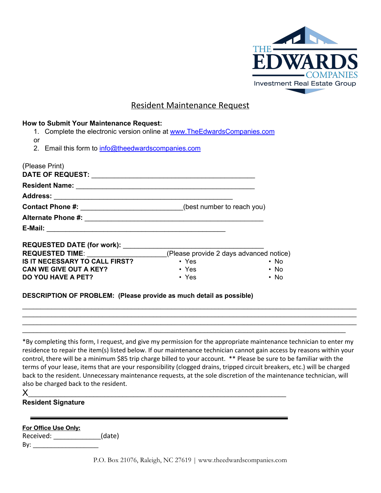

# Resident Maintenance Request

## **How to Submit Your Maintenance Request:**

- 1. Complete the electronic version online at [www.TheEdwardsCompanies.com](http://www.theedwardscompanies.com/maintenance)
- or
- 2. Email this form to [info@theedwardscompanies.com](mailto:info@theedwardscompanies.com)

| (Please Print)                                                        |                                         |            |
|-----------------------------------------------------------------------|-----------------------------------------|------------|
| <b>Resident Name:</b>                                                 |                                         |            |
|                                                                       |                                         |            |
| Contact Phone #: __________________________(best number to reach you) |                                         |            |
| Alternate Phone #: Alternate Phone #:                                 |                                         |            |
|                                                                       |                                         |            |
| <b>REQUESTED DATE (for work):</b>                                     |                                         |            |
| REQUESTED TIME: ________________                                      | (Please provide 2 days advanced notice) |            |
| IS IT NECESSARY TO CALL FIRST?                                        | $\cdot$ Yes                             | $\cdot$ No |
| <b>CAN WE GIVE OUT A KEY?</b>                                         | $\cdot$ Yes                             | $\cdot$ No |
| <b>DO YOU HAVE A PET?</b>                                             | $\cdot$ Yes                             | $\cdot$ No |

### **DESCRIPTION OF PROBLEM: (Please provide as much detail as possible)**

### \*By completing this form, I request, and give my permission for the appropriate maintenance technician to enter my residence to repair the item(s) listed below. If our maintenance technician cannot gain access by reasons within your control, there will be a minimum \$85 trip charge billed to your account. \*\* Please be sure to be familiar with the terms of your lease, items that are your responsibility (clogged drains, tripped circuit breakers, etc.) will be charged back to the resident. Unnecessary maintenance requests, at the sole discretion of the maintenance technician, will also be charged back to the resident.

 $\mathcal{L}_\mathcal{L} = \{ \mathcal{L}_\mathcal{L} = \{ \mathcal{L}_\mathcal{L} = \{ \mathcal{L}_\mathcal{L} = \{ \mathcal{L}_\mathcal{L} = \{ \mathcal{L}_\mathcal{L} = \{ \mathcal{L}_\mathcal{L} = \{ \mathcal{L}_\mathcal{L} = \{ \mathcal{L}_\mathcal{L} = \{ \mathcal{L}_\mathcal{L} = \{ \mathcal{L}_\mathcal{L} = \{ \mathcal{L}_\mathcal{L} = \{ \mathcal{L}_\mathcal{L} = \{ \mathcal{L}_\mathcal{L} = \{ \mathcal{L}_\mathcal{$  $\mathcal{L}_\mathcal{L} = \{ \mathcal{L}_\mathcal{L} = \{ \mathcal{L}_\mathcal{L} = \{ \mathcal{L}_\mathcal{L} = \{ \mathcal{L}_\mathcal{L} = \{ \mathcal{L}_\mathcal{L} = \{ \mathcal{L}_\mathcal{L} = \{ \mathcal{L}_\mathcal{L} = \{ \mathcal{L}_\mathcal{L} = \{ \mathcal{L}_\mathcal{L} = \{ \mathcal{L}_\mathcal{L} = \{ \mathcal{L}_\mathcal{L} = \{ \mathcal{L}_\mathcal{L} = \{ \mathcal{L}_\mathcal{L} = \{ \mathcal{L}_\mathcal{$  $\mathcal{L}_\mathcal{L} = \{ \mathcal{L}_\mathcal{L} = \{ \mathcal{L}_\mathcal{L} = \{ \mathcal{L}_\mathcal{L} = \{ \mathcal{L}_\mathcal{L} = \{ \mathcal{L}_\mathcal{L} = \{ \mathcal{L}_\mathcal{L} = \{ \mathcal{L}_\mathcal{L} = \{ \mathcal{L}_\mathcal{L} = \{ \mathcal{L}_\mathcal{L} = \{ \mathcal{L}_\mathcal{L} = \{ \mathcal{L}_\mathcal{L} = \{ \mathcal{L}_\mathcal{L} = \{ \mathcal{L}_\mathcal{L} = \{ \mathcal{L}_\mathcal{$ \_\_\_\_\_\_\_\_\_\_\_\_\_\_\_\_\_\_\_\_\_\_\_\_\_\_\_\_\_\_\_\_\_\_\_\_\_\_\_\_\_\_\_\_\_\_\_\_\_\_\_\_\_\_\_\_\_\_\_\_\_\_\_\_\_\_\_\_\_\_\_\_\_\_\_\_\_\_\_\_\_\_\_\_\_\_\_\_\_

### **Resident Signature**

| For Office Use Only: |        |
|----------------------|--------|
| Received:            | (date) |

 $By:$